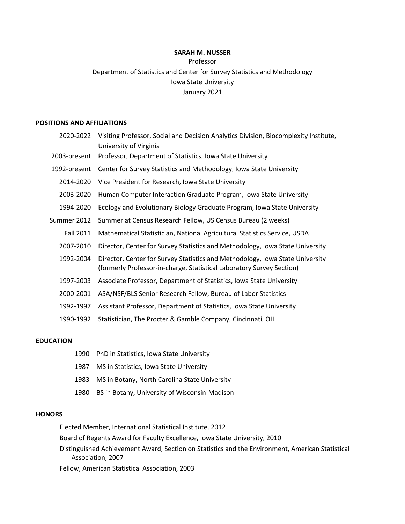# **SARAH M. NUSSER**

# Professor Department of Statistics and Center for Survey Statistics and Methodology Iowa State University January 2021

#### **POSITIONS AND AFFILIATIONS**

| 2020-2022    | Visiting Professor, Social and Decision Analytics Division, Biocomplexity Institute,<br>University of Virginia                                         |
|--------------|--------------------------------------------------------------------------------------------------------------------------------------------------------|
| 2003-present | Professor, Department of Statistics, Iowa State University                                                                                             |
| 1992-present | Center for Survey Statistics and Methodology, Iowa State University                                                                                    |
| 2014-2020    | Vice President for Research, Iowa State University                                                                                                     |
| 2003-2020    | Human Computer Interaction Graduate Program, Iowa State University                                                                                     |
| 1994-2020    | Ecology and Evolutionary Biology Graduate Program, Iowa State University                                                                               |
| Summer 2012  | Summer at Census Research Fellow, US Census Bureau (2 weeks)                                                                                           |
| Fall 2011    | Mathematical Statistician, National Agricultural Statistics Service, USDA                                                                              |
| 2007-2010    | Director, Center for Survey Statistics and Methodology, Iowa State University                                                                          |
| 1992-2004    | Director, Center for Survey Statistics and Methodology, Iowa State University<br>(formerly Professor-in-charge, Statistical Laboratory Survey Section) |
| 1997-2003    | Associate Professor, Department of Statistics, Iowa State University                                                                                   |
| 2000-2001    | ASA/NSF/BLS Senior Research Fellow, Bureau of Labor Statistics                                                                                         |
| 1992-1997    | Assistant Professor, Department of Statistics, Iowa State University                                                                                   |
| 1990-1992    | Statistician, The Procter & Gamble Company, Cincinnati, OH                                                                                             |

### **EDUCATION**

- 1987 MS in Statistics, Iowa State University
- 1983 MS in Botany, North Carolina State University
- 1980 BS in Botany, University of Wisconsin-Madison

#### **HONORS**

Elected Member, International Statistical Institute, 2012

Board of Regents Award for Faculty Excellence, Iowa State University, 2010

Distinguished Achievement Award, Section on Statistics and the Environment, American Statistical Association, 2007

Fellow, American Statistical Association, 2003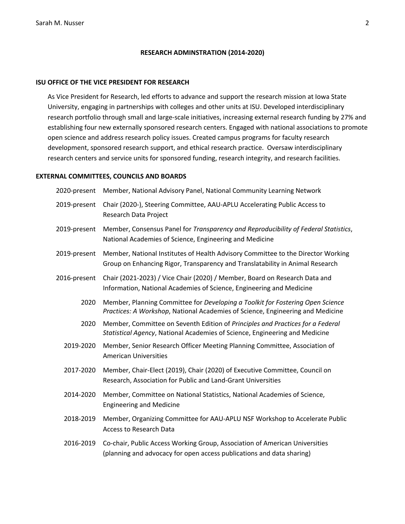#### **RESEARCH ADMINSTRATION (2014-2020)**

#### **ISU OFFICE OF THE VICE PRESIDENT FOR RESEARCH**

As Vice President for Research, led efforts to advance and support the research mission at Iowa State University, engaging in partnerships with colleges and other units at ISU. Developed interdisciplinary research portfolio through small and large-scale initiatives, increasing external research funding by 27% and establishing four new externally sponsored research centers. Engaged with national associations to promote open science and address research policy issues. Created campus programs for faculty research development, sponsored research support, and ethical research practice. Oversaw interdisciplinary research centers and service units for sponsored funding, research integrity, and research facilities.

#### **EXTERNAL COMMITTEES, COUNCILS AND BOARDS**

|              | 2020-present Member, National Advisory Panel, National Community Learning Network                                                                                 |
|--------------|-------------------------------------------------------------------------------------------------------------------------------------------------------------------|
| 2019-present | Chair (2020-), Steering Committee, AAU-APLU Accelerating Public Access to<br>Research Data Project                                                                |
| 2019-present | Member, Consensus Panel for Transparency and Reproducibility of Federal Statistics,<br>National Academies of Science, Engineering and Medicine                    |
| 2019-present | Member, National Institutes of Health Advisory Committee to the Director Working<br>Group on Enhancing Rigor, Transparency and Translatability in Animal Research |
| 2016-present | Chair (2021-2023) / Vice Chair (2020) / Member, Board on Research Data and<br>Information, National Academies of Science, Engineering and Medicine                |
| 2020         | Member, Planning Committee for Developing a Toolkit for Fostering Open Science<br>Practices: A Workshop, National Academies of Science, Engineering and Medicine  |
| 2020         | Member, Committee on Seventh Edition of Principles and Practices for a Federal<br>Statistical Agency, National Academies of Science, Engineering and Medicine     |
| 2019-2020    | Member, Senior Research Officer Meeting Planning Committee, Association of<br><b>American Universities</b>                                                        |
| 2017-2020    | Member, Chair-Elect (2019), Chair (2020) of Executive Committee, Council on<br>Research, Association for Public and Land-Grant Universities                       |
| 2014-2020    | Member, Committee on National Statistics, National Academies of Science,<br><b>Engineering and Medicine</b>                                                       |
| 2018-2019    | Member, Organizing Committee for AAU-APLU NSF Workshop to Accelerate Public<br>Access to Research Data                                                            |
| 2016-2019    | Co-chair, Public Access Working Group, Association of American Universities<br>(planning and advocacy for open access publications and data sharing)              |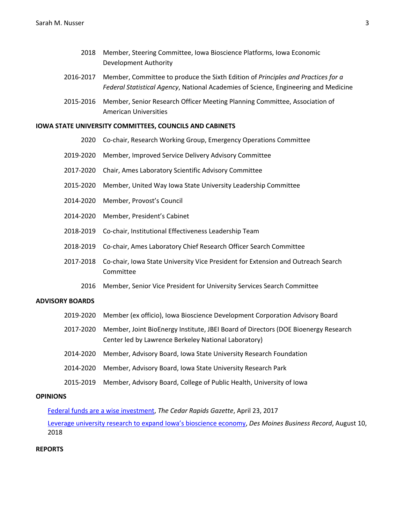- 2018 Member, Steering Committee, Iowa Bioscience Platforms, Iowa Economic Development Authority
- 2016-2017 Member, Committee to produce the Sixth Edition of *Principles and Practices for a Federal Statistical Agency*, National Academies of Science, Engineering and Medicine
- 2015-2016 Member, Senior Research Officer Meeting Planning Committee, Association of American Universities

#### **IOWA STATE UNIVERSITY COMMITTEES, COUNCILS AND CABINETS**

- 2020 Co-chair, Research Working Group, Emergency Operations Committee
- 2019-2020 Member, Improved Service Delivery Advisory Committee
- 2017-2020 Chair, Ames Laboratory Scientific Advisory Committee
- 2015-2020 Member, United Way Iowa State University Leadership Committee
- 2014-2020 Member, Provost's Council
- 2014-2020 Member, President's Cabinet
- 2018-2019 Co-chair, Institutional Effectiveness Leadership Team
- 2018-2019 Co-chair, Ames Laboratory Chief Research Officer Search Committee
- 2017-2018 Co-chair, Iowa State University Vice President for Extension and Outreach Search Committee
	- 2016 Member, Senior Vice President for University Services Search Committee

#### **ADVISORY BOARDS**

- 2019-2020 Member (ex officio), Iowa Bioscience Development Corporation Advisory Board
- 2017-2020 Member, Joint BioEnergy Institute, JBEI Board of Directors (DOE Bioenergy Research Center led by Lawrence Berkeley National Laboratory)
- 2014-2020 Member, Advisory Board, Iowa State University Research Foundation
- 2014-2020 Member, Advisory Board, Iowa State University Research Park
- 2015-2019 Member, Advisory Board, College of Public Health, University of Iowa

#### **OPINIONS**

Federal funds are a wise investment, *The Cedar Rapids Gazette*, April 23, 2017

Leverage university research to expand Iowa's bioscience economy, *Des Moines Business Record*, August 10, 2018

### **REPORTS**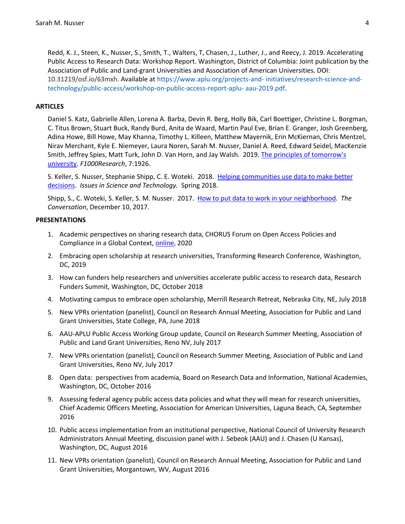Redd, K. J., Steen, K., Nusser, S., Smith, T., Walters, T, Chasen, J., Luther, J., and Reecy, J. 2019. Accelerating Public Access to Research Data: Workshop Report. Washington, District of Columbia: Joint publication by the Association of Public and Land-grant Universities and Association of American Universities. DOI: 10.31219/osf.io/63mxh. Available at https://www.aplu.org/projects-and- initiatives/research-science-andtechnology/public-access/workshop-on-public-access-report-aplu- aau-2019.pdf.

# **ARTICLES**

Daniel S. Katz, Gabrielle Allen, Lorena A. Barba, Devin R. Berg, Holly Bik, Carl Boettiger, Christine L. Borgman, C. Titus Brown, Stuart Buck, Randy Burd, Anita de Waard, Martin Paul Eve, Brian E. Granger, Josh Greenberg, Adina Howe, Bill Howe, May Khanna, Timothy L. Killeen, Matthew Mayernik, Erin McKiernan, Chris Mentzel, Nirav Merchant, Kyle E. Niemeyer, Laura Noren, Sarah M. Nusser, Daniel A. Reed, Edward Seidel, MacKenzie Smith, Jeffrey Spies, Matt Turk, John D. Van Horn, and Jay Walsh*.* 2019. The principles of tomorrow's university. *F1000Research*, 7:1926.

S. Keller, S. Nusser, Stephanie Shipp, C. E. Woteki. 2018. Helping communities use data to make better decisions. *Issues in Science and Technology.* Spring 2018.

Shipp, S., C. Woteki, S. Keller, S. M. Nusser. 2017. How to put data to work in your neighborhood. *The Conversation*, December 10, 2017.

# **PRESENTATIONS**

- 1. Academic perspectives on sharing research data, CHORUS Forum on Open Access Policies and Compliance in a Global Context, online, 2020
- 2. Embracing open scholarship at research universities, Transforming Research Conference, Washington, DC, 2019
- 3. How can funders help researchers and universities accelerate public access to research data, Research Funders Summit, Washington, DC, October 2018
- 4. Motivating campus to embrace open scholarship, Merrill Research Retreat, Nebraska City, NE, July 2018
- 5. New VPRs orientation (panelist), Council on Research Annual Meeting, Association for Public and Land Grant Universities, State College, PA, June 2018
- 6. AAU-APLU Public Access Working Group update, Council on Research Summer Meeting, Association of Public and Land Grant Universities, Reno NV, July 2017
- 7. New VPRs orientation (panelist), Council on Research Summer Meeting, Association of Public and Land Grant Universities, Reno NV, July 2017
- 8. Open data: perspectives from academia, Board on Research Data and Information, National Academies, Washington, DC, October 2016
- 9. Assessing federal agency public access data policies and what they will mean for research universities, Chief Academic Officers Meeting, Association for American Universities, Laguna Beach, CA, September 2016
- 10. Public access implementation from an institutional perspective, National Council of University Research Administrators Annual Meeting, discussion panel with J. Sebeok (AAU) and J. Chasen (U Kansas), Washington, DC, August 2016
- 11. New VPRs orientation (panelist), Council on Research Annual Meeting, Association for Public and Land Grant Universities, Morgantown, WV, August 2016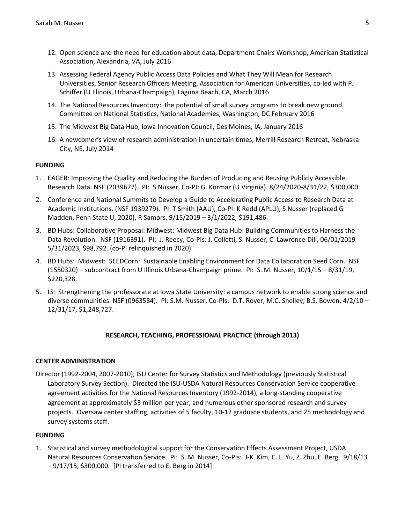- 12. Open science and the need for education about data, Department Chairs Workshop, American Statistical Association, Alexandria, VA, July 2016
- 13. Assessing Federal Agency Public Access Data Policies and What They Will Mean for Research Universities, Senior Research Officers Meeting, Association for American Universities, co-led with P. Schiffer (U Illinois, Urbana-Champaign), Laguna Beach, CA, March 2016
- 14. The National Resources Inventory: the potential of small survey programs to break new ground. Committee on National Statistics, National Academies, Washington, DC February 2016
- 15. The Midwest Big Data Hub, Iowa Innovation Council, Des Moines, IA, January 2016
- 16. A newcomer's view of research administration in uncertain times, Merrill Research Retreat, Nebraska City, NE, July 2014

### **FUNDING**

- 1. EAGER: Improving the Quality and Reducing the Burden of Producing and Reusing Publicly Accessible Research Data. NSF (2039677). PI: S Nusser, Co-PI: G. Kormaz (U Virginia). 8/24/2020-8/31/22, \$300,000.
- 2. Conference and National Summits to Develop a Guide to Accelerating Public Access to Research Data at Academic Institutions. (NSF 1939279). PI: T Smith (AAU), Co-PI: K Redd (APLU), S Nusser (replaced G Madden, Penn State U, 2020), R Samors. 9/15/2019 – 3/1/2022, \$191,486.
- 3. BD Hubs: Collaborative Proposal: Midwest: Midwest Big Data Hub: Building Communities to Harness the Data Revolution. NSF (1916391). PI: J. Reecy, Co-PIs: J. Colletti, S. Nusser, C. Lawrence-Dill, 06/01/2019- 5/31/2023, \$98,792. (co-PI relinquished in 2020)
- 4. BD Hubs: Midwest: SEEDCorn: Sustainable Enabling Environment for Data Collaboration Seed Corn. NSF (1550320) – subcontract from U Illinois Urbana-Champaign prime. PI: S. M. Nusser, 10/1/15 – 8/31/19, \$220,328.
- 5. I3: Strengthening the professorate at Iowa State University: a campus network to enable strong science and diverse communities. NSF (0963584). PI: S.M. Nusser, Co-PIs: D.T. Rover, M.C. Shelley, B.S. Bowen, 4/2/10 – 12/31/17, \$1,248,727.

# **RESEARCH, TEACHING, PROFESSIONAL PRACTICE (through 2013)**

### **CENTER ADMINISTRATION**

Director (1992-2004, 2007-2010), ISU Center for Survey Statistics and Methodology (previously Statistical Laboratory Survey Section). Directed the ISU-USDA Natural Resources Conservation Service cooperative agreement activities for the National Resources Inventory (1992-2014), a long-standing cooperative agreement at approximately \$3 million per year, and numerous other sponsored research and survey projects. Oversaw center staffing, activities of 5 faculty, 10-12 graduate students, and 25 methodology and survey systems staff.

### **FUNDING**

1. Statistical and survey methodological support for the Conservation Effects Assessment Project, USDA Natural Resources Conservation Service. PI: S. M. Nusser, Co-PIs: J-K. Kim, C. L. Yu, Z. Zhu, E. Berg. 9/18/13 – 9/17/15, \$300,000. [PI transferred to E. Berg in 2014]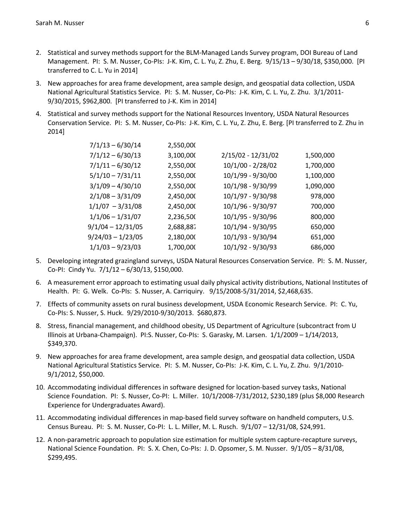- 2. Statistical and survey methods support for the BLM-Managed Lands Survey program, DOI Bureau of Land Management. PI: S. M. Nusser, Co-PIs: J-K. Kim, C. L. Yu, Z. Zhu, E. Berg. 9/15/13 – 9/30/18, \$350,000. [PI transferred to C. L. Yu in 2014]
- 3. New approaches for area frame development, area sample design, and geospatial data collection, USDA National Agricultural Statistics Service. PI: S. M. Nusser, Co-PIs: J-K. Kim, C. L. Yu, Z. Zhu. 3/1/2011- 9/30/2015, \$962,800. [PI transferred to J-K. Kim in 2014]
- 4. Statistical and survey methods support for the National Resources Inventory, USDA Natural Resources Conservation Service. PI: S. M. Nusser, Co-PIs: J-K. Kim, C. L. Yu, Z. Zhu, E. Berg. [PI transferred to Z. Zhu in 2014]

| $7/1/13 - 6/30/14$  | 2,550,000 |                    |           |
|---------------------|-----------|--------------------|-----------|
| $7/1/12 - 6/30/13$  | 3,100,000 | 2/15/02 - 12/31/02 | 1,500,000 |
| $7/1/11 - 6/30/12$  | 2,550,000 | 10/1/00 - 2/28/02  | 1,700,000 |
| $5/1/10 - 7/31/11$  | 2,550,000 | 10/1/99 - 9/30/00  | 1,100,000 |
| $3/1/09 - 4/30/10$  | 2,550,000 | 10/1/98 - 9/30/99  | 1,090,000 |
| $2/1/08 - 3/31/09$  | 2,450,000 | 10/1/97 - 9/30/98  | 978,000   |
| $1/1/07 - 3/31/08$  | 2,450,000 | 10/1/96 - 9/30/97  | 700,000   |
| $1/1/06 - 1/31/07$  | 2,236,500 | 10/1/95 - 9/30/96  | 800,000   |
| $9/1/04 - 12/31/05$ | 2,688,887 | 10/1/94 - 9/30/95  | 650,000   |
| $9/24/03 - 1/23/05$ | 2,180,000 | 10/1/93 - 9/30/94  | 651,000   |
| $1/1/03 - 9/23/03$  | 1,700,000 | 10/1/92 - 9/30/93  | 686,000   |
|                     |           |                    |           |

- 5. Developing integrated grazingland surveys, USDA Natural Resources Conservation Service. PI: S. M. Nusser, Co-PI: Cindy Yu. 7/1/12 – 6/30/13, \$150,000.
- 6. A measurement error approach to estimating usual daily physical activity distributions, National Institutes of Health. PI: G. Welk. Co-PIs: S. Nusser, A. Carriquiry. 9/15/2008-5/31/2014, \$2,468,635.
- 7. Effects of community assets on rural business development, USDA Economic Research Service. PI: C. Yu, Co-PIs: S. Nusser, S. Huck. 9/29/2010-9/30/2013. \$680,873.
- 8. Stress, financial management, and childhood obesity, US Department of Agriculture (subcontract from U Illinois at Urbana-Champaign). PI:S. Nusser, Co-PIs: S. Garasky, M. Larsen. 1/1/2009 – 1/14/2013, \$349,370.
- 9. New approaches for area frame development, area sample design, and geospatial data collection, USDA National Agricultural Statistics Service. PI: S. M. Nusser, Co-PIs: J-K. Kim, C. L. Yu, Z. Zhu. 9/1/2010- 9/1/2012, \$50,000.
- 10. Accommodating individual differences in software designed for location-based survey tasks, National Science Foundation. PI: S. Nusser, Co-PI: L. Miller. 10/1/2008-7/31/2012, \$230,189 (plus \$8,000 Research Experience for Undergraduates Award).
- 11. Accommodating individual differences in map-based field survey software on handheld computers, U.S. Census Bureau. PI: S. M. Nusser, Co-PI: L. L. Miller, M. L. Rusch. 9/1/07 – 12/31/08, \$24,991.
- 12. A non-parametric approach to population size estimation for multiple system capture-recapture surveys, National Science Foundation. PI: S. X. Chen, Co-PIs: J. D. Opsomer, S. M. Nusser. 9/1/05 – 8/31/08, \$299,495.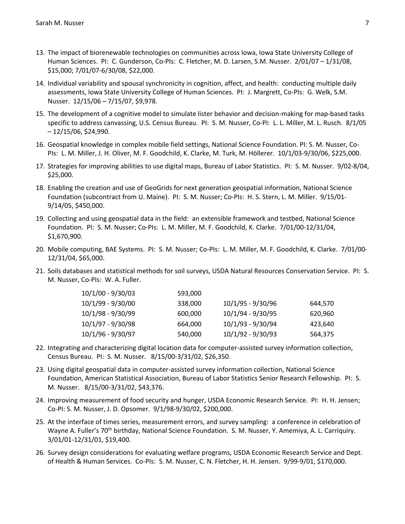- 13. The impact of biorenewable technologies on communities across Iowa, Iowa State University College of Human Sciences. PI: C. Gunderson, Co-PIs: C. Fletcher, M. D. Larsen, S.M. Nusser. 2/01/07 – 1/31/08, \$15,000; 7/01/07-6/30/08, \$22,000.
- 14. Individual variability and spousal synchronicity in cognition, affect, and health: conducting multiple daily assessments, Iowa State University College of Human Sciences. PI: J. Margrett, Co-PIs: G. Welk, S.M. Nusser. 12/15/06 – 7/15/07, \$9,978.
- 15. The development of a cognitive model to simulate lister behavior and decision-making for map-based tasks specific to address canvassing, U.S. Census Bureau. PI: S. M. Nusser, Co-PI: L. L. Miller, M. L. Rusch. 8/1/05 – 12/15/06, \$24,990.
- 16. Geospatial knowledge in complex mobile field settings, National Science Foundation. PI: S. M. Nusser, Co-PIs: L. M. Miller, J. H. Oliver, M. F. Goodchild, K. Clarke, M. Turk, M. Höllerer. 10/1/03-9/30/06, \$225,000.
- 17. Strategies for improving abilities to use digital maps, Bureau of Labor Statistics. PI: S. M. Nusser. 9/02-8/04, \$25,000.
- 18. Enabling the creation and use of GeoGrids for next generation geospatial information, National Science Foundation (subcontract from U. Maine). PI: S. M. Nusser; Co-PIs: H. S. Stern, L. M. Miller. 9/15/01- 9/14/05, \$450,000.
- 19. Collecting and using geospatial data in the field: an extensible framework and testbed, National Science Foundation. PI: S. M. Nusser; Co-PIs: L. M. Miller, M. F. Goodchild, K. Clarke. 7/01/00-12/31/04, \$1,670,900.
- 20. Mobile computing, BAE Systems. PI: S. M. Nusser; Co-PIs: L. M. Miller, M. F. Goodchild, K. Clarke. 7/01/00- 12/31/04, \$65,000.
- 21. Soils databases and statistical methods for soil surveys, USDA Natural Resources Conservation Service. PI: S. M. Nusser, Co-PIs: W. A. Fuller.

| 10/1/00 - 9/30/03 | 593,000 |                   |         |
|-------------------|---------|-------------------|---------|
| 10/1/99 - 9/30/00 | 338,000 | 10/1/95 - 9/30/96 | 644.570 |
| 10/1/98 - 9/30/99 | 600.000 | 10/1/94 - 9/30/95 | 620.960 |
| 10/1/97 - 9/30/98 | 664.000 | 10/1/93 - 9/30/94 | 423.640 |
| 10/1/96 - 9/30/97 | 540.000 | 10/1/92 - 9/30/93 | 564.375 |

- 22. Integrating and characterizing digital location data for computer-assisted survey information collection, Census Bureau. PI: S. M. Nusser. 8/15/00-3/31/02, \$26,350.
- 23. Using digital geospatial data in computer-assisted survey information collection, National Science Foundation, American Statistical Association, Bureau of Labor Statistics Senior Research Fellowship. PI: S. M. Nusser. 8/15/00-3/31/02, \$43,376.
- 24. Improving measurement of food security and hunger, USDA Economic Research Service. PI: H. H. Jensen; Co-PI: S. M. Nusser, J. D. Opsomer. 9/1/98-9/30/02, \$200,000.
- 25. At the interface of times series, measurement errors, and survey sampling: a conference in celebration of Wayne A. Fuller's 70<sup>th</sup> birthday, National Science Foundation. S. M. Nusser, Y. Amemiya, A. L. Carriquiry. 3/01/01-12/31/01, \$19,400.
- 26. Survey design considerations for evaluating welfare programs, USDA Economic Research Service and Dept. of Health & Human Services. Co-PIs: S. M. Nusser, C. N. Fletcher, H. H. Jensen. 9/99-9/01, \$170,000.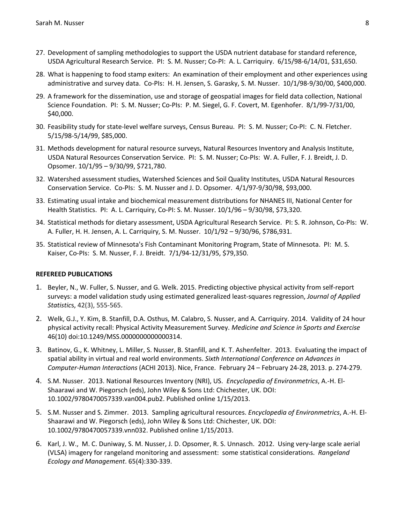- 27. Development of sampling methodologies to support the USDA nutrient database for standard reference, USDA Agricultural Research Service. PI: S. M. Nusser; Co-PI: A. L. Carriquiry. 6/15/98-6/14/01, \$31,650.
- 28. What is happening to food stamp exiters: An examination of their employment and other experiences using administrative and survey data. Co-PIs: H. H. Jensen, S. Garasky, S. M. Nusser. 10/1/98-9/30/00, \$400,000.
- 29. A framework for the dissemination, use and storage of geospatial images for field data collection, National Science Foundation. PI: S. M. Nusser; Co-PIs: P. M. Siegel, G. F. Covert, M. Egenhofer. 8/1/99-7/31/00, \$40,000.
- 30. Feasibility study for state-level welfare surveys, Census Bureau. PI: S. M. Nusser; Co-PI: C. N. Fletcher. 5/15/98-5/14/99, \$85,000.
- 31. Methods development for natural resource surveys, Natural Resources Inventory and Analysis Institute, USDA Natural Resources Conservation Service. PI: S. M. Nusser; Co-PIs: W. A. Fuller, F. J. Breidt, J. D. Opsomer. 10/1/95 – 9/30/99, \$721,780.
- 32. Watershed assessment studies, Watershed Sciences and Soil Quality Institutes, USDA Natural Resources Conservation Service. Co-PIs: S. M. Nusser and J. D. Opsomer. 4/1/97-9/30/98, \$93,000.
- 33. Estimating usual intake and biochemical measurement distributions for NHANES III, National Center for Health Statistics. PI: A. L. Carriquiry, Co-PI: S. M. Nusser. 10/1/96 – 9/30/98, \$73,320.
- 34. Statistical methods for dietary assessment, USDA Agricultural Research Service. PI: S. R. Johnson, Co-PIs: W. A. Fuller, H. H. Jensen, A. L. Carriquiry, S. M. Nusser. 10/1/92 – 9/30/96, \$786,931.
- 35. Statistical review of Minnesota's Fish Contaminant Monitoring Program, State of Minnesota. PI: M. S. Kaiser, Co-PIs: S. M. Nusser, F. J. Breidt. 7/1/94-12/31/95, \$79,350.

# **REFEREED PUBLICATIONS**

- 1. Beyler, N., W. Fuller, S. Nusser, and G. Welk. 2015. Predicting objective physical activity from self-report surveys: a model validation study using estimated generalized least-squares regression, *Journal of Applied Statistic*s, 42(3), 555-565.
- 2. Welk, G.J., Y. Kim, B. Stanfill, D.A. Osthus, M. Calabro, S. Nusser, and A. Carriquiry. 2014. Validity of 24 hour physical activity recall: Physical Activity Measurement Survey. *Medicine and Science in Sports and Exercise* 46(10) doi:10.1249/MSS.0000000000000314.
- 3. Batinov, G., K. Whitney, L. Miller, S. Nusser, B. Stanfill, and K. T. Ashenfelter. 2013. Evaluating the impact of spatial ability in virtual and real world environments. *Sixth International Conference on Advances in Computer-Human Interactions* (ACHI 2013). Nice, France. February 24 – February 24-28, 2013. p. 274-279.
- 4. S.M. Nusser. 2013. National Resources Inventory (NRI), US. *Encyclopedia of Environmetrics*, A.-H. El-Shaarawi and W. Piegorsch (eds), John Wiley & Sons Ltd: Chichester, UK. DOI: 10.1002/9780470057339.van004.pub2. Published online 1/15/2013.
- 5. S.M. Nusser and S. Zimmer. 2013. Sampling agricultural resources. *Encyclopedia of Environmetrics*, A.-H. El-Shaarawi and W. Piegorsch (eds), John Wiley & Sons Ltd: Chichester, UK. DOI: 10.1002/9780470057339.vnn032. Published online 1/15/2013.
- 6. Karl, J. W., M. C. Duniway, S. M. Nusser, J. D. Opsomer, R. S. Unnasch. 2012. Using very-large scale aerial (VLSA) imagery for rangeland monitoring and assessment: some statistical considerations. *Rangeland Ecology and Management*. 65(4):330-339.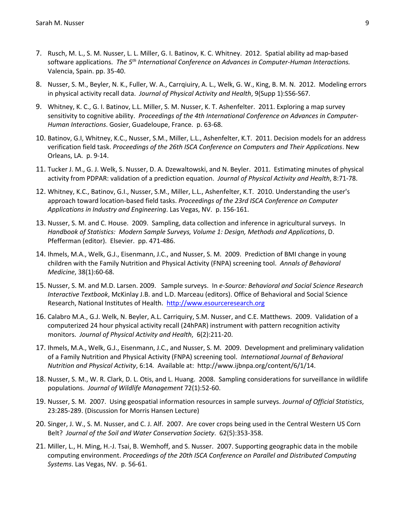- 7. Rusch, M. L., S. M. Nusser, L. L. Miller, G. I. Batinov, K. C. Whitney. 2012. Spatial ability ad map-based software applications. *The 5th International Conference on Advances in Computer-Human Interactions.*  Valencia, Spain. pp. 35-40.
- 8. Nusser, S. M., Beyler, N. K., Fuller, W. A., Carrqiuiry, A. L., Welk, G. W., King, B. M. N. 2012. Modeling errors in physical activity recall data. *Journal of Physical Activity and Health*, 9(Supp 1):S56-S67.
- 9. Whitney, K. C., G. I. Batinov, L.L. Miller, S. M. Nusser, K. T. Ashenfelter. 2011. Exploring a map survey sensitivity to cognitive ability. *Proceedings of the 4th International Conference on Advances in Computer-Human Interactions*. Gosier, Guadeloupe, France. p. 63-68.
- 10. Batinov, G.I, Whitney, K.C., Nusser, S.M., Miller, L.L., Ashenfelter, K.T. 2011. Decision models for an address verification field task. *Proceedings of the 26th ISCA Conference on Computers and Their Applications*. New Orleans, LA. p. 9-14.
- 11. Tucker J. M., G. J. Welk, S. Nusser, D. A. Dzewaltowski, and N. Beyler. 2011. Estimating minutes of physical activity from PDPAR: validation of a prediction equation. *Journal of Physical Activity and Health*, 8:71-78.
- 12. Whitney, K.C., Batinov, G.I., Nusser, S.M., Miller, L.L., Ashenfelter, K.T. 2010. Understanding the user's approach toward location-based field tasks. *Proceedings of the 23rd ISCA Conference on Computer Applications in Industry and Engineering*. Las Vegas, NV. p. 156-161.
- 13. Nusser, S. M. and C. House. 2009. Sampling, data collection and inference in agricultural surveys. In *Handbook of Statistics: Modern Sample Surveys, Volume 1: Design, Methods and Applications*, D. Pfefferman (editor). Elsevier. pp. 471-486.
- 14. Ihmels, M.A., Welk, G.J., Eisenmann, J.C., and Nusser, S. M. 2009. Prediction of BMI change in young children with the Family Nutrition and Physical Activity (FNPA) screening tool. *Annals of Behavioral Medicine*, 38(1):60-68.
- 15. Nusser, S. M. and M.D. Larsen. 2009. Sample surveys. In *e-Source: Behavioral and Social Science Research Interactive Textbook*, McKinlay J.B. and L.D. Marceau (editors). Office of Behavioral and Social Science Research, National Institutes of Health. http://www.esourceresearch.org
- 16. Calabro M.A., G.J. Welk, N. Beyler, A.L. Carriquiry, S.M. Nusser, and C.E. Matthews. 2009. Validation of a computerized 24 hour physical activity recall (24hPAR) instrument with pattern recognition activity monitors. *Journal of Physical Activity and Health*, 6(2):211-20.
- 17. Ihmels, M.A., Welk, G.J., Eisenmann, J.C., and Nusser, S. M. 2009. Development and preliminary validation of a Family Nutrition and Physical Activity (FNPA) screening tool. *International Journal of Behavioral Nutrition and Physical Activity*, 6:14*.* Available at: http://www.ijbnpa.org/content/6/1/14.
- 18. Nusser, S. M., W. R. Clark, D. L. Otis, and L. Huang. 2008. Sampling considerations for surveillance in wildlife populations. *Journal of Wildlife Management* 72(1):52-60.
- 19. Nusser, S. M. 2007. Using geospatial information resources in sample surveys. *Journal of Official Statistics*, 23:285-289. (Discussion for Morris Hansen Lecture)
- 20. Singer, J. W., S. M. Nusser, and C. J. Alf. 2007. Are cover crops being used in the Central Western US Corn Belt? *Journal of the Soil and Water Conservation Society*. 62(5):353-358.
- 21. Miller, L., H. Ming, H.-J. Tsai, B. Wemhoff, and S. Nusser. 2007. Supporting geographic data in the mobile computing environment. *Proceedings of the 20th ISCA Conference on Parallel and Distributed Computing Systems*. Las Vegas, NV. p. 56-61.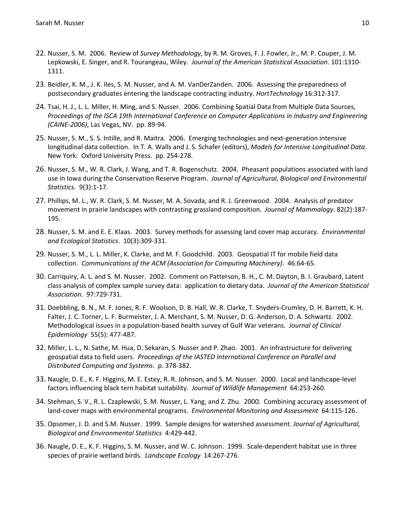- 22. Nusser, S. M. 2006. Review of *Survey Methodology*, by R. M. Groves, F. J. Fowler, Jr., M. P. Couper, J. M. Lepkowski, E. Singer, and R. Tourangeau, Wiley. *Journal of the American Statistical Association*. 101:1310- 1311.
- 23. Beidler, K. M., J. K. Iles, S. M. Nusser, and A. M. VanDerZanden. 2006. Assessing the preparedness of postsecondary graduates entering the landscape contracting industry. *HortTechnology* 16:312-317.
- 24. Tsai, H. J., L. L. Miller, H. Ming, and S. Nusser. 2006. Combining Spatial Data from Multiple Data Sources, *Proceedings of the ISCA 19th International Conference on Computer Applications in Industry and Engineering (CAINE-2006)*, Las Vegas, NV. pp. 89-94.
- 25. Nusser, S. M., S. S. Intille, and R. Maitra. 2006. Emerging technologies and next-generation intensive longitudinal data collection. In T. A. Walls and J. S. Schafer (editors), *Models for Intensive Longitudinal Data*. New York: Oxford University Press. pp. 254-278.
- 26. Nusser, S. M., W. R. Clark, J. Wang, and T. R. Bogenschutz. 2004. Pheasant populations associated with land use in Iowa during the Conservation Reserve Program. *Journal of Agricultural, Biological and Environmental Statistics.* 9(3):1-17.
- 27. Phillips, M. L., W. R. Clark, S. M. Nusser, M. A. Sovada, and R. J. Greenwood. 2004. Analysis of predator movement in prairie landscapes with contrasting grassland composition. *Journal of Mammalogy*. 82(2):187- 195.
- 28. Nusser, S. M. and E. E. Klaas. 2003. Survey methods for assessing land cover map accuracy. *Environmental and Ecological Statistics*. 10(3):309-331.
- 29. Nusser, S. M., L. L. Miller, K. Clarke, and M. F. Goodchild. 2003. Geospatial IT for mobile field data collection. *Communications of the ACM (Association for Computing Machinery)*. 46:64-65.
- 30. Carriquiry, A. L. and S. M. Nusser. 2002. Comment on Patterson, B. H., C. M. Dayton, B. I. Graubard, Latent class analysis of complex sample survey data: application to dietary data. *Journal of the American Statistical Association*. 97:729-731.
- 31. Doebbling, B. N., M. F. Jones, R. F. Woolson, D. B. Hall, W. R. Clarke, T. Snyders-Crumley, D. H. Barrett, K. H. Falter, J. C. Torner, L. F. Burmeister, J. A. Merchant, S. M. Nusser, D. G. Anderson, D. A. Schwartz. 2002. Methodological issues in a population-based health survey of Gulf War veterans. *Journal of Clinical Epidemiology* 55(5): 477-487.
- 32. Miller, L. L., N. Sathe, M. Hua, D. Sekaran, S. Nusser and P. Zhao. 2001. An infrastructure for delivering geospatial data to field users. *Proceedings of the IASTED International Conference on Parallel and Distributed Computing and Systems*. p. 378-382.
- 33. Naugle, D. E., K. F. Higgins, M. E. Estey, R. R. Johnson, and S. M. Nusser. 2000. Local and landscape-level factors influencing black tern habitat suitability. *Journal of Wildlife Management* 64:253-260.
- 34. Stehman, S. V., R. L. Czaplewski, S. M. Nusser, L. Yang, and Z. Zhu. 2000. Combining accuracy assessment of land-cover maps with environmental programs. *Environmental Monitoring and Assessment* 64:115-126.
- 35. Opsomer, J. D. and S.M. Nusser. 1999. Sample designs for watershed assessment. *Journal of Agricultural, Biological and Environmental Statistics* 4:429-442.
- 36. Naugle, D. E., K. F. Higgins, S. M. Nusser, and W. C. Johnson. 1999. Scale-dependent habitat use in three species of prairie wetland birds. *Landscape Ecology* 14:267-276.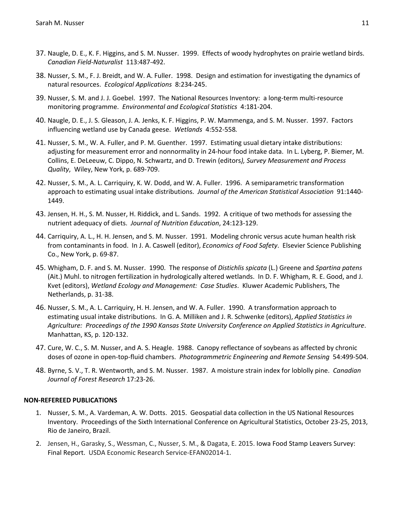- 37. Naugle, D. E., K. F. Higgins, and S. M. Nusser. 1999. Effects of woody hydrophytes on prairie wetland birds. *Canadian Field-Naturalist* 113:487-492.
- 38. Nusser, S. M., F. J. Breidt, and W. A. Fuller. 1998. Design and estimation for investigating the dynamics of natural resources. *Ecological Applications* 8:234-245.
- 39. Nusser, S. M. and J. J. Goebel. 1997. The National Resources Inventory: a long-term multi-resource monitoring programme. *Environmental and Ecological Statistics* 4:181-204.
- 40. Naugle, D. E., J. S. Gleason, J. A. Jenks, K. F. Higgins, P. W. Mammenga, and S. M. Nusser. 1997. Factors influencing wetland use by Canada geese. *Wetlands* 4:552-558*.*
- 41. Nusser, S. M., W. A. Fuller, and P. M. Guenther. 1997. Estimating usual dietary intake distributions: adjusting for measurement error and nonnormality in 24-hour food intake data. In L. Lyberg, P. Biemer, M. Collins, E. DeLeeuw, C. Dippo, N. Schwartz, and D. Trewin (editors*), Survey Measurement and Process Quality*, Wiley, New York, p. 689-709.
- 42. Nusser, S. M., A. L. Carriquiry, K. W. Dodd, and W. A. Fuller. 1996. A semiparametric transformation approach to estimating usual intake distributions. *Journal of the American Statistical Association* 91:1440- 1449.
- 43. Jensen, H. H., S. M. Nusser, H. Riddick, and L. Sands. 1992. A critique of two methods for assessing the nutrient adequacy of diets. *Journal of Nutrition Education*, 24:123-129.
- 44. Carriquiry, A. L., H. H. Jensen, and S. M. Nusser. 1991. Modeling chronic versus acute human health risk from contaminants in food. In J. A. Caswell (editor), *Economics of Food Safety*. Elsevier Science Publishing Co., New York, p. 69-87.
- 45. Whigham, D. F. and S. M. Nusser. 1990. The response of *Distichlis spicata* (L.) Greene and *Spartina patens* (Ait.) Muhl. to nitrogen fertilization in hydrologically altered wetlands. In D. F. Whigham, R. E. Good, and J. Kvet (editors), *Wetland Ecology and Management: Case Studies*. Kluwer Academic Publishers, The Netherlands, p. 31-38.
- 46. Nusser, S. M., A. L. Carriquiry, H. H. Jensen, and W. A. Fuller. 1990. A transformation approach to estimating usual intake distributions. In G. A. Milliken and J. R. Schwenke (editors), *Applied Statistics in Agriculture: Proceedings of the 1990 Kansas State University Conference on Applied Statistics in Agriculture*. Manhattan, KS, p. 120-132.
- 47. Cure, W. C., S. M. Nusser, and A. S. Heagle. 1988. Canopy reflectance of soybeans as affected by chronic doses of ozone in open-top-fluid chambers. *Photogrammetric Engineering and Remote Sensing* 54:499-504.
- 48. Byrne, S. V., T. R. Wentworth, and S. M. Nusser. 1987. A moisture strain index for loblolly pine. *Canadian Journal of Forest Research* 17:23-26.

# **NON-REFEREED PUBLICATIONS**

- 1. Nusser, S. M., A. Vardeman, A. W. Dotts. 2015. Geospatial data collection in the US National Resources Inventory. Proceedings of the Sixth International Conference on Agricultural Statistics, October 23-25, 2013, Rio de Janeiro, Brazil.
- 2. Jensen, H., Garasky, S., Wessman, C., Nusser, S. M., & Dagata, E. 2015. Iowa Food Stamp Leavers Survey: Final Report. USDA Economic Research Service-EFAN02014-1.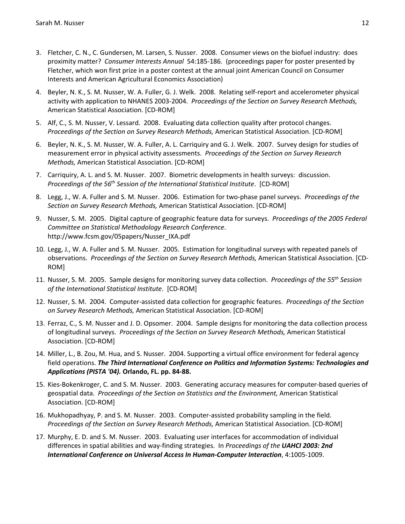- 3. Fletcher, C. N., C. Gundersen, M. Larsen, S. Nusser. 2008. Consumer views on the biofuel industry: does proximity matter? *Consumer Interests Annual* 54:185-186. (proceedings paper for poster presented by Fletcher, which won first prize in a poster contest at the annual joint American Council on Consumer Interests and American Agricultural Economics Association)
- 4. Beyler, N. K., S. M. Nusser, W. A. Fuller, G. J. Welk. 2008. Relating self-report and accelerometer physical activity with application to NHANES 2003-2004. *Proceedings of the Section on Survey Research Methods,* American Statistical Association. [CD-ROM]
- 5. Alf, C., S. M. Nusser, V. Lessard. 2008. Evaluating data collection quality after protocol changes. *Proceedings of the Section on Survey Research Methods,* American Statistical Association. [CD-ROM]
- 6. Beyler, N. K., S. M. Nusser, W. A. Fuller, A. L. Carriquiry and G. J. Welk. 2007. Survey design for studies of measurement error in physical activity assessments. *Proceedings of the Section on Survey Research Methods,* American Statistical Association. [CD-ROM]
- 7. Carriquiry, A. L. and S. M. Nusser. 2007. Biometric developments in health surveys: discussion. *Proceedings of the 56th Session of the International Statistical Institute*. [CD-ROM]
- 8. Legg, J., W. A. Fuller and S. M. Nusser. 2006. Estimation for two-phase panel surveys. *Proceedings of the Section on Survey Research Methods,* American Statistical Association. [CD-ROM]
- 9. Nusser, S. M. 2005. Digital capture of geographic feature data for surveys. *Proceedings of the 2005 Federal Committee on Statistical Methodology Research Conference*. http://www.fcsm.gov/05papers/Nusser\_IXA.pdf
- 10. Legg, J., W. A. Fuller and S. M. Nusser. 2005. Estimation for longitudinal surveys with repeated panels of observations. *Proceedings of the Section on Survey Research Methods,* American Statistical Association. [CD-ROM]
- 11. Nusser, S. M. 2005. Sample designs for monitoring survey data collection. *Proceedings of the 55th Session of the International Statistical Institute*. [CD-ROM]
- 12. Nusser, S. M. 2004. Computer-assisted data collection for geographic features. *Proceedings of the Section on Survey Research Methods,* American Statistical Association. [CD-ROM]
- 13. Ferraz, C., S. M. Nusser and J. D. Opsomer. 2004. Sample designs for monitoring the data collection process of longitudinal surveys. *Proceedings of the Section on Survey Research Methods,* American Statistical Association. [CD-ROM]
- 14. Miller, L., B. Zou, M. Hua, and S. Nusser. 2004. Supporting a virtual office environment for federal agency field operations. *The Third International Conference on Politics and Information Systems: Technologies and Applications (PISTA '04).* **Orlando, FL. pp. 84-88.**
- 15. Kies-Bokenkroger, C. and S. M. Nusser. 2003. Generating accuracy measures for computer-based queries of geospatial data. *Proceedings of the Section on Statistics and the Environment,* American Statistical Association. [CD-ROM]
- 16. Mukhopadhyay, P. and S. M. Nusser. 2003. Computer-assisted probability sampling in the field. *Proceedings of the Section on Survey Research Methods,* American Statistical Association. [CD-ROM]
- 17. Murphy, E. D. and S. M. Nusser. 2003. Evaluating user interfaces for accommodation of individual differences in spatial abilities and way-finding strategies. In *Proceedings of the UAHCI 2003: 2nd International Conference on Universal Access In Human-Computer Interaction*, 4:1005-1009.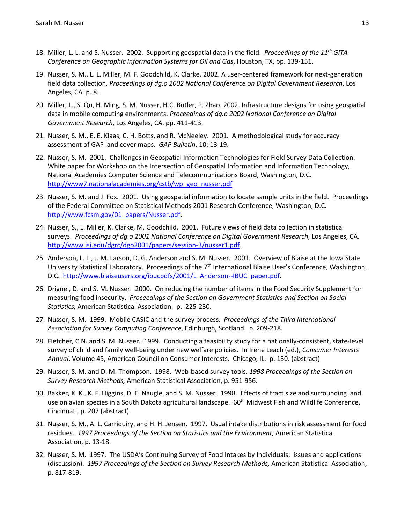- 18. Miller, L. L. and S. Nusser. 2002. Supporting geospatial data in the field. *Proceedings of the 11th GITA Conference on Geographic Information Systems for Oil and Gas*, Houston, TX, pp. 139-151.
- 19. Nusser, S. M., L. L. Miller, M. F. Goodchild, K. Clarke. 2002. A user-centered framework for next-generation field data collection. *Proceedings of dg.o 2002 National Conference on Digital Government Research*, Los Angeles, CA. p. 8.
- 20. Miller, L., S. Qu, H. Ming, S. M. Nusser, H.C. Butler, P. Zhao. 2002. Infrastructure designs for using geospatial data in mobile computing environments. *Proceedings of dg.o 2002 National Conference on Digital Government Research*, Los Angeles, CA. pp. 411-413.
- 21. Nusser, S. M., E. E. Klaas, C. H. Botts, and R. McNeeley. 2001. A methodological study for accuracy assessment of GAP land cover maps. *GAP Bulletin*, 10: 13-19.
- 22. Nusser, S. M. 2001. Challenges in Geospatial Information Technologies for Field Survey Data Collection. White paper for Workshop on the Intersection of Geospatial Information and Information Technology, National Academies Computer Science and Telecommunications Board, Washington, D.C. http://www7.nationalacademies.org/cstb/wp\_geo\_nusser.pdf
- 23. Nusser, S. M. and J. Fox. 2001. Using geospatial information to locate sample units in the field. Proceedings of the Federal Committee on Statistical Methods 2001 Research Conference, Washington, D.C. http://www.fcsm.gov/01\_papers/Nusser.pdf.
- 24. Nusser, S., L. Miller, K. Clarke, M. Goodchild. 2001. Future views of field data collection in statistical surveys. *Proceedings of dg.o 2001 National Conference on Digital Government Research*, Los Angeles, CA. http://www.isi.edu/dgrc/dgo2001/papers/session-3/nusser1.pdf.
- 25. Anderson, L. L., J. M. Larson, D. G. Anderson and S. M. Nusser. 2001. Overview of Blaise at the Iowa State University Statistical Laboratory. Proceedings of the 7<sup>th</sup> International Blaise User's Conference, Washington, D.C. http://www.blaiseusers.org/ibucpdfs/2001/L Anderson--IBUC paper.pdf.
- 26. Drignei, D. and S. M. Nusser. 2000. On reducing the number of items in the Food Security Supplement for measuring food insecurity. *Proceedings of the Section on Government Statistics and Section on Social Statistics,* American Statistical Association. p. 225-230.
- 27. Nusser, S. M. 1999. Mobile CASIC and the survey process. *Proceedings of the Third International Association for Survey Computing Conference*, Edinburgh, Scotland. p. 209-218.
- 28. Fletcher, C.N. and S. M. Nusser. 1999. Conducting a feasibility study for a nationally-consistent, state-level survey of child and family well-being under new welfare policies. In Irene Leach (ed.), *Consumer Interests Annual*, Volume 45, American Council on Consumer Interests. Chicago, IL. p. 130. (abstract)
- 29. Nusser, S. M. and D. M. Thompson. 1998. Web-based survey tools. *1998 Proceedings of the Section on Survey Research Methods,* American Statistical Association, p. 951-956.
- 30. Bakker, K. K., K. F. Higgins, D. E. Naugle, and S. M. Nusser. 1998. Effects of tract size and surrounding land use on avian species in a South Dakota agricultural landscape. 60<sup>th</sup> Midwest Fish and Wildlife Conference, Cincinnati, p. 207 (abstract).
- 31. Nusser, S. M., A. L. Carriquiry, and H. H. Jensen. 1997. Usual intake distributions in risk assessment for food residues. *1997 Proceedings of the Section on Statistics and the Environment,* American Statistical Association, p. 13-18.
- 32. Nusser, S. M. 1997. The USDA's Continuing Survey of Food Intakes by Individuals: issues and applications (discussion). *1997 Proceedings of the Section on Survey Research Methods,* American Statistical Association, p. 817-819.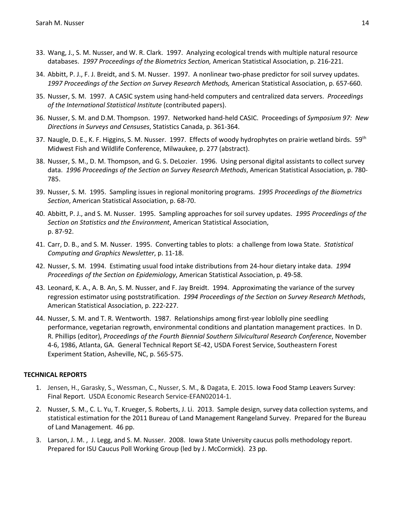- 33. Wang, J., S. M. Nusser, and W. R. Clark. 1997. Analyzing ecological trends with multiple natural resource databases. *1997 Proceedings of the Biometrics Section,* American Statistical Association, p. 216-221.
- 34. Abbitt, P. J., F. J. Breidt, and S. M. Nusser. 1997. A nonlinear two-phase predictor for soil survey updates. *1997 Proceedings of the Section on Survey Research Methods,* American Statistical Association, p. 657-660.
- 35. Nusser, S. M. 1997. A CASIC system using hand-held computers and centralized data servers. *Proceedings of the International Statistical Institute* (contributed papers).
- 36. Nusser, S. M. and D.M. Thompson. 1997. Networked hand-held CASIC. Proceedings of *Symposium 97: New Directions in Surveys and Censuses*, Statistics Canada, p. 361-364.
- 37. Naugle, D. E., K. F. Higgins, S. M. Nusser. 1997. Effects of woody hydrophytes on prairie wetland birds.  $59<sup>th</sup>$ Midwest Fish and Wildlife Conference, Milwaukee, p. 277 (abstract).
- 38. Nusser, S. M., D. M. Thompson, and G. S. DeLozier. 1996. Using personal digital assistants to collect survey data. *1996 Proceedings of the Section on Survey Research Methods*, American Statistical Association, p. 780- 785.
- 39. Nusser, S. M. 1995. Sampling issues in regional monitoring programs. *1995 Proceedings of the Biometrics Section*, American Statistical Association, p. 68-70.
- 40. Abbitt, P. J., and S. M. Nusser. 1995. Sampling approaches for soil survey updates. *1995 Proceedings of the Section on Statistics and the Environment*, American Statistical Association, p. 87-92.
- 41. Carr, D. B., and S. M. Nusser. 1995. Converting tables to plots: a challenge from Iowa State. *Statistical Computing and Graphics Newsletter*, p. 11-18.
- 42. Nusser, S. M. 1994. Estimating usual food intake distributions from 24-hour dietary intake data. *1994 Proceedings of the Section on Epidemiology*, American Statistical Association, p. 49-58.
- 43. Leonard, K. A., A. B. An, S. M. Nusser, and F. Jay Breidt. 1994. Approximating the variance of the survey regression estimator using poststratification. *1994 Proceedings of the Section on Survey Research Methods*, American Statistical Association, p. 222-227.
- 44. Nusser, S. M. and T. R. Wentworth. 1987. Relationships among first-year loblolly pine seedling performance, vegetarian regrowth, environmental conditions and plantation management practices. In D. R. Phillips (editor), *Proceedings of the Fourth Biennial Southern Silvicultural Research Conference*, November 4-6, 1986, Atlanta, GA. General Technical Report SE-42, USDA Forest Service, Southeastern Forest Experiment Station, Asheville, NC, p. 565-575.

# **TECHNICAL REPORTS**

- 1. Jensen, H., Garasky, S., Wessman, C., Nusser, S. M., & Dagata, E. 2015. Iowa Food Stamp Leavers Survey: Final Report. USDA Economic Research Service-EFAN02014-1.
- 2. Nusser, S. M., C. L. Yu, T. Krueger, S. Roberts, J. Li. 2013. Sample design, survey data collection systems, and statistical estimation for the 2011 Bureau of Land Management Rangeland Survey. Prepared for the Bureau of Land Management. 46 pp.
- 3. Larson, J. M. , J. Legg, and S. M. Nusser. 2008. Iowa State University caucus polls methodology report. Prepared for ISU Caucus Poll Working Group (led by J. McCormick). 23 pp.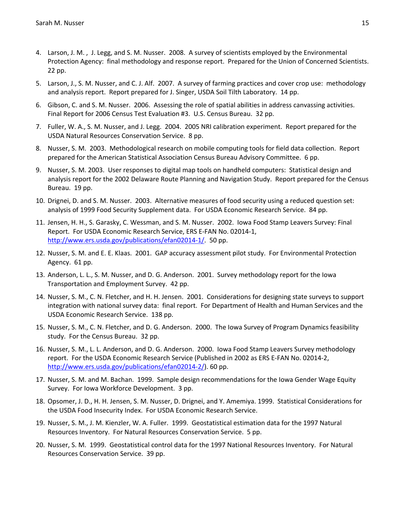- 4. Larson, J. M. , J. Legg, and S. M. Nusser. 2008. A survey of scientists employed by the Environmental Protection Agency: final methodology and response report. Prepared for the Union of Concerned Scientists. 22 pp.
- 5. Larson, J., S. M. Nusser, and C. J. Alf. 2007. A survey of farming practices and cover crop use: methodology and analysis report. Report prepared for J. Singer, USDA Soil Tilth Laboratory. 14 pp.
- 6. Gibson, C. and S. M. Nusser. 2006. Assessing the role of spatial abilities in address canvassing activities. Final Report for 2006 Census Test Evaluation #3. U.S. Census Bureau. 32 pp.
- 7. Fuller, W. A., S. M. Nusser, and J. Legg. 2004. 2005 NRI calibration experiment. Report prepared for the USDA Natural Resources Conservation Service. 8 pp.
- 8. Nusser, S. M. 2003. Methodological research on mobile computing tools for field data collection. Report prepared for the American Statistical Association Census Bureau Advisory Committee. 6 pp.
- 9. Nusser, S. M. 2003. User responses to digital map tools on handheld computers: Statistical design and analysis report for the 2002 Delaware Route Planning and Navigation Study. Report prepared for the Census Bureau. 19 pp.
- 10. Drignei, D. and S. M. Nusser. 2003. Alternative measures of food security using a reduced question set: analysis of 1999 Food Security Supplement data. For USDA Economic Research Service. 84 pp.
- 11. Jensen, H. H., S. Garasky, C. Wessman, and S. M. Nusser. 2002. Iowa Food Stamp Leavers Survey: Final Report. For USDA Economic Research Service, ERS E-FAN No. 02014-1, http://www.ers.usda.gov/publications/efan02014-1/. 50 pp.
- 12. Nusser, S. M. and E. E. Klaas. 2001. GAP accuracy assessment pilot study. For Environmental Protection Agency. 61 pp.
- 13. Anderson, L. L., S. M. Nusser, and D. G. Anderson. 2001. Survey methodology report for the Iowa Transportation and Employment Survey. 42 pp.
- 14. Nusser, S. M., C. N. Fletcher, and H. H. Jensen. 2001. Considerations for designing state surveys to support integration with national survey data: final report. For Department of Health and Human Services and the USDA Economic Research Service. 138 pp.
- 15. Nusser, S. M., C. N. Fletcher, and D. G. Anderson. 2000. The Iowa Survey of Program Dynamics feasibility study. For the Census Bureau. 32 pp.
- 16. Nusser, S. M., L. L. Anderson, and D. G. Anderson. 2000. Iowa Food Stamp Leavers Survey methodology report. For the USDA Economic Research Service (Published in 2002 as ERS E-FAN No. 02014-2, http://www.ers.usda.gov/publications/efan02014-2/). 60 pp.
- 17. Nusser, S. M. and M. Bachan. 1999. Sample design recommendations for the Iowa Gender Wage Equity Survey. For Iowa Workforce Development. 3 pp.
- 18. Opsomer, J. D., H. H. Jensen, S. M. Nusser, D. Drignei, and Y. Amemiya. 1999. Statistical Considerations for the USDA Food Insecurity Index. For USDA Economic Research Service.
- 19. Nusser, S. M., J. M. Kienzler, W. A. Fuller. 1999. Geostatistical estimation data for the 1997 Natural Resources Inventory. For Natural Resources Conservation Service. 5 pp.
- 20. Nusser, S. M. 1999. Geostatistical control data for the 1997 National Resources Inventory. For Natural Resources Conservation Service. 39 pp.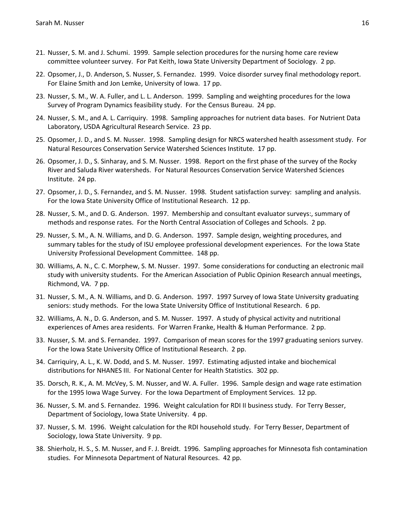- 21. Nusser, S. M. and J. Schumi. 1999. Sample selection procedures for the nursing home care review committee volunteer survey. For Pat Keith, Iowa State University Department of Sociology. 2 pp.
- 22. Opsomer, J., D. Anderson, S. Nusser, S. Fernandez. 1999. Voice disorder survey final methodology report. For Elaine Smith and Jon Lemke, University of Iowa. 17 pp.
- 23. Nusser, S. M., W. A. Fuller, and L. L. Anderson. 1999. Sampling and weighting procedures for the Iowa Survey of Program Dynamics feasibility study. For the Census Bureau. 24 pp.
- 24. Nusser, S. M., and A. L. Carriquiry. 1998. Sampling approaches for nutrient data bases. For Nutrient Data Laboratory, USDA Agricultural Research Service. 23 pp.
- 25. Opsomer, J. D., and S. M. Nusser. 1998. Sampling design for NRCS watershed health assessment study. For Natural Resources Conservation Service Watershed Sciences Institute. 17 pp.
- 26. Opsomer, J. D., S. Sinharay, and S. M. Nusser. 1998. Report on the first phase of the survey of the Rocky River and Saluda River watersheds. For Natural Resources Conservation Service Watershed Sciences Institute. 24 pp.
- 27. Opsomer, J. D., S. Fernandez, and S. M. Nusser. 1998. Student satisfaction survey: sampling and analysis. For the Iowa State University Office of Institutional Research. 12 pp.
- 28. Nusser, S. M., and D. G. Anderson. 1997. Membership and consultant evaluator surveys:, summary of methods and response rates. For the North Central Association of Colleges and Schools. 2 pp.
- 29. Nusser, S. M., A. N. Williams, and D. G. Anderson. 1997. Sample design, weighting procedures, and summary tables for the study of ISU employee professional development experiences. For the Iowa State University Professional Development Committee. 148 pp.
- 30. Williams, A. N., C. C. Morphew, S. M. Nusser. 1997. Some considerations for conducting an electronic mail study with university students. For the American Association of Public Opinion Research annual meetings, Richmond, VA. 7 pp.
- 31. Nusser, S. M., A. N. Williams, and D. G. Anderson. 1997. 1997 Survey of Iowa State University graduating seniors: study methods. For the Iowa State University Office of Institutional Research. 6 pp.
- 32. Williams, A. N., D. G. Anderson, and S. M. Nusser. 1997. A study of physical activity and nutritional experiences of Ames area residents. For Warren Franke, Health & Human Performance. 2 pp.
- 33. Nusser, S. M. and S. Fernandez. 1997. Comparison of mean scores for the 1997 graduating seniors survey. For the Iowa State University Office of Institutional Research. 2 pp.
- 34. Carriquiry, A. L., K. W. Dodd, and S. M. Nusser. 1997. Estimating adjusted intake and biochemical distributions for NHANES III. For National Center for Health Statistics. 302 pp.
- 35. Dorsch, R. K., A. M. McVey, S. M. Nusser, and W. A. Fuller. 1996. Sample design and wage rate estimation for the 1995 Iowa Wage Survey. For the Iowa Department of Employment Services. 12 pp.
- 36. Nusser, S. M. and S. Fernandez. 1996. Weight calculation for RDI II business study. For Terry Besser, Department of Sociology, Iowa State University. 4 pp.
- 37. Nusser, S. M. 1996. Weight calculation for the RDI household study. For Terry Besser, Department of Sociology, Iowa State University. 9 pp.
- 38. Shierholz, H. S., S. M. Nusser, and F. J. Breidt. 1996. Sampling approaches for Minnesota fish contamination studies. For Minnesota Department of Natural Resources. 42 pp.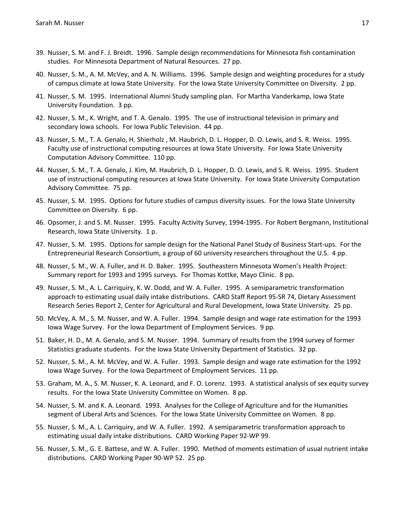- 39. Nusser, S. M. and F. J. Breidt. 1996. Sample design recommendations for Minnesota fish contamination studies. For Minnesota Department of Natural Resources. 27 pp.
- 40. Nusser, S. M., A. M. McVey, and A. N. Williams. 1996. Sample design and weighting procedures for a study of campus climate at Iowa State University. For the Iowa State University Committee on Diversity. 2 pp.
- 41. Nusser, S. M. 1995. International Alumni Study sampling plan. For Martha Vanderkamp, Iowa State University Foundation. 3 pp.
- 42. Nusser, S. M., K. Wright, and T. A. Genalo. 1995. The use of instructional television in primary and secondary Iowa schools. For Iowa Public Television. 44 pp.
- 43. Nusser, S. M., T. A. Genalo, H. Shierholz , M. Haubrich, D. L. Hopper, D. O. Lewis, and S. R. Weiss. 1995. Faculty use of instructional computing resources at Iowa State University. For Iowa State University Computation Advisory Committee. 110 pp.
- 44. Nusser, S. M., T. A. Genalo, J. Kim, M. Haubrich, D. L. Hopper, D. O. Lewis, and S. R. Weiss. 1995. Student use of instructional computing resources at Iowa State University. For Iowa State University Computation Advisory Committee. 75 pp.
- 45. Nusser, S. M. 1995. Options for future studies of campus diversity issues. For the Iowa State University Committee on Diversity. 6 pp.
- 46. Opsomer, J. and S. M. Nusser. 1995. Faculty Activity Survey, 1994-1995. For Robert Bergmann, Institutional Research, Iowa State University. 1 p.
- 47. Nusser, S. M. 1995. Options for sample design for the National Panel Study of Business Start-ups. For the Entrepreneurial Research Consortium, a group of 60 university researchers throughout the U.S. 4 pp.
- 48. Nusser, S. M., W. A. Fuller, and H. D. Baker. 1995. Southeastern Minnesota Women's Health Project: Summary report for 1993 and 1995 surveys. For Thomas Kottke, Mayo Clinic. 8 pp.
- 49. Nusser, S. M., A. L. Carriquiry, K. W. Dodd, and W. A. Fuller. 1995. A semiparametric transformation approach to estimating usual daily intake distributions. CARD Staff Report 95-SR 74, Dietary Assessment Research Series Report 2, Center for Agricultural and Rural Development, Iowa State University. 25 pp.
- 50. McVey, A. M., S. M. Nusser, and W. A. Fuller. 1994. Sample design and wage rate estimation for the 1993 Iowa Wage Survey. For the Iowa Department of Employment Services. 9 pp.
- 51. Baker, H. D., M. A. Genalo, and S. M. Nusser. 1994. Summary of results from the 1994 survey of former Statistics graduate students. For the Iowa State University Department of Statistics. 32 pp.
- 52. Nusser, S. M., A. M. McVey, and W. A. Fuller. 1993. Sample design and wage rate estimation for the 1992 Iowa Wage Survey. For the Iowa Department of Employment Services. 11 pp.
- 53. Graham, M. A., S. M. Nusser, K. A. Leonard, and F. O. Lorenz. 1993. A statistical analysis of sex equity survey results. For the Iowa State University Committee on Women. 8 pp.
- 54. Nusser, S. M. and K. A. Leonard. 1993. Analyses for the College of Agriculture and for the Humanities segment of Liberal Arts and Sciences. For the Iowa State University Committee on Women. 8 pp.
- 55. Nusser, S. M., A. L. Carriquiry, and W. A. Fuller. 1992. A semiparametric transformation approach to estimating usual daily intake distributions. CARD Working Paper 92-WP 99.
- 56. Nusser, S. M., G. E. Battese, and W. A. Fuller. 1990. Method of moments estimation of usual nutrient intake distributions. CARD Working Paper 90-WP 52. 25 pp.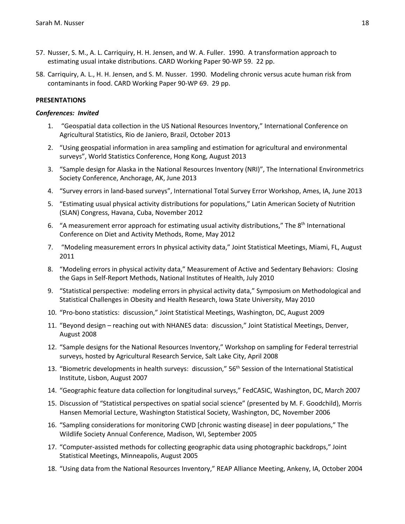- 57. Nusser, S. M., A. L. Carriquiry, H. H. Jensen, and W. A. Fuller. 1990. A transformation approach to estimating usual intake distributions. CARD Working Paper 90-WP 59. 22 pp.
- 58. Carriquiry, A. L., H. H. Jensen, and S. M. Nusser. 1990. Modeling chronic versus acute human risk from contaminants in food. CARD Working Paper 90-WP 69. 29 pp.

## **PRESENTATIONS**

### *Conferences: Invited*

- 1. "Geospatial data collection in the US National Resources Inventory," International Conference on Agricultural Statistics, Rio de Janiero, Brazil, October 2013
- 2. "Using geospatial information in area sampling and estimation for agricultural and environmental surveys", World Statistics Conference, Hong Kong, August 2013
- 3. "Sample design for Alaska in the National Resources Inventory (NRI)", The International Environmetrics Society Conference, Anchorage, AK, June 2013
- 4. "Survey errors in land-based surveys", International Total Survey Error Workshop, Ames, IA, June 2013
- 5. "Estimating usual physical activity distributions for populations," Latin American Society of Nutrition (SLAN) Congress, Havana, Cuba, November 2012
- 6. "A measurement error approach for estimating usual activity distributions," The  $8<sup>th</sup>$  International Conference on Diet and Activity Methods, Rome, May 2012
- 7. "Modeling measurement errors In physical activity data," Joint Statistical Meetings, Miami, FL, August 2011
- 8. "Modeling errors in physical activity data," Measurement of Active and Sedentary Behaviors: Closing the Gaps in Self-Report Methods, National Institutes of Health, July 2010
- 9. "Statistical perspective: modeling errors in physical activity data," Symposium on Methodological and Statistical Challenges in Obesity and Health Research, Iowa State University, May 2010
- 10. "Pro-bono statistics: discussion," Joint Statistical Meetings, Washington, DC, August 2009
- 11. "Beyond design reaching out with NHANES data: discussion," Joint Statistical Meetings, Denver, August 2008
- 12. "Sample designs for the National Resources Inventory," Workshop on sampling for Federal terrestrial surveys, hosted by Agricultural Research Service, Salt Lake City, April 2008
- 13. "Biometric developments in health surveys: discussion," 56th Session of the International Statistical Institute, Lisbon, August 2007
- 14. "Geographic feature data collection for longitudinal surveys," FedCASIC, Washington, DC, March 2007
- 15. Discussion of "Statistical perspectives on spatial social science" (presented by M. F. Goodchild), Morris Hansen Memorial Lecture, Washington Statistical Society, Washington, DC, November 2006
- 16. "Sampling considerations for monitoring CWD [chronic wasting disease] in deer populations," The Wildlife Society Annual Conference, Madison, WI, September 2005
- 17. "Computer-assisted methods for collecting geographic data using photographic backdrops," Joint Statistical Meetings, Minneapolis, August 2005
- 18. "Using data from the National Resources Inventory," REAP Alliance Meeting, Ankeny, IA, October 2004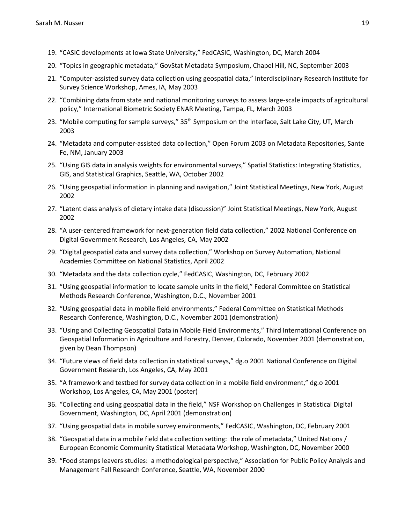- 19. "CASIC developments at Iowa State University," FedCASIC, Washington, DC, March 2004
- 20. "Topics in geographic metadata," GovStat Metadata Symposium, Chapel Hill, NC, September 2003
- 21. "Computer-assisted survey data collection using geospatial data," Interdisciplinary Research Institute for Survey Science Workshop, Ames, IA, May 2003
- 22. "Combining data from state and national monitoring surveys to assess large-scale impacts of agricultural policy," International Biometric Society ENAR Meeting, Tampa, FL, March 2003
- 23. "Mobile computing for sample surveys,"  $35<sup>th</sup>$  Symposium on the Interface, Salt Lake City, UT, March 2003
- 24. "Metadata and computer-assisted data collection," Open Forum 2003 on Metadata Repositories, Sante Fe, NM, January 2003
- 25. "Using GIS data in analysis weights for environmental surveys," Spatial Statistics: Integrating Statistics, GIS, and Statistical Graphics, Seattle, WA, October 2002
- 26. "Using geospatial information in planning and navigation," Joint Statistical Meetings, New York, August 2002
- 27. "Latent class analysis of dietary intake data (discussion)" Joint Statistical Meetings, New York, August 2002
- 28. "A user-centered framework for next-generation field data collection," 2002 National Conference on Digital Government Research, Los Angeles, CA, May 2002
- 29. "Digital geospatial data and survey data collection," Workshop on Survey Automation, National Academies Committee on National Statistics, April 2002
- 30. "Metadata and the data collection cycle," FedCASIC, Washington, DC, February 2002
- 31. "Using geospatial information to locate sample units in the field," Federal Committee on Statistical Methods Research Conference, Washington, D.C., November 2001
- 32. "Using geospatial data in mobile field environments," Federal Committee on Statistical Methods Research Conference, Washington, D.C., November 2001 (demonstration)
- 33. "Using and Collecting Geospatial Data in Mobile Field Environments," Third International Conference on Geospatial Information in Agriculture and Forestry, Denver, Colorado, November 2001 (demonstration, given by Dean Thompson)
- 34. "Future views of field data collection in statistical surveys," dg.o 2001 National Conference on Digital Government Research, Los Angeles, CA, May 2001
- 35. "A framework and testbed for survey data collection in a mobile field environment," dg.o 2001 Workshop, Los Angeles, CA, May 2001 (poster)
- 36. "Collecting and using geospatial data in the field," NSF Workshop on Challenges in Statistical Digital Government, Washington, DC, April 2001 (demonstration)
- 37. "Using geospatial data in mobile survey environments," FedCASIC, Washington, DC, February 2001
- 38. "Geospatial data in a mobile field data collection setting: the role of metadata," United Nations / European Economic Community Statistical Metadata Workshop, Washington, DC, November 2000
- 39. "Food stamps leavers studies: a methodological perspective," Association for Public Policy Analysis and Management Fall Research Conference, Seattle, WA, November 2000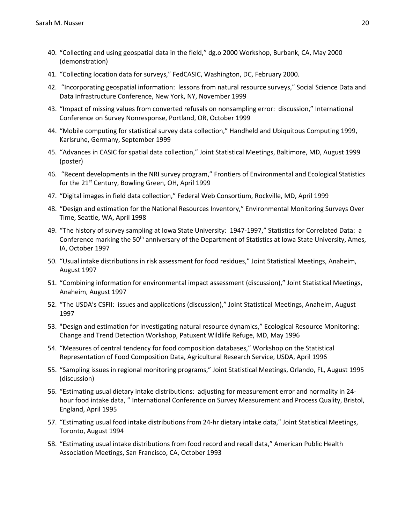- 40. "Collecting and using geospatial data in the field," dg.o 2000 Workshop, Burbank, CA, May 2000 (demonstration)
- 41. "Collecting location data for surveys," FedCASIC, Washington, DC, February 2000.
- 42. "Incorporating geospatial information: lessons from natural resource surveys," Social Science Data and Data Infrastructure Conference, New York, NY, November 1999
- 43. "Impact of missing values from converted refusals on nonsampling error: discussion," International Conference on Survey Nonresponse, Portland, OR, October 1999
- 44. "Mobile computing for statistical survey data collection," Handheld and Ubiquitous Computing 1999, Karlsruhe, Germany, September 1999
- 45. "Advances in CASIC for spatial data collection," Joint Statistical Meetings, Baltimore, MD, August 1999 (poster)
- 46. "Recent developments in the NRI survey program," Frontiers of Environmental and Ecological Statistics for the 21<sup>st</sup> Century, Bowling Green, OH, April 1999
- 47. "Digital images in field data collection," Federal Web Consortium, Rockville, MD, April 1999
- 48. "Design and estimation for the National Resources Inventory," Environmental Monitoring Surveys Over Time, Seattle, WA, April 1998
- 49. "The history of survey sampling at Iowa State University: 1947-1997," Statistics for Correlated Data: a Conference marking the 50<sup>th</sup> anniversary of the Department of Statistics at Iowa State University, Ames, IA, October 1997
- 50. "Usual intake distributions in risk assessment for food residues," Joint Statistical Meetings, Anaheim, August 1997
- 51. "Combining information for environmental impact assessment (discussion)," Joint Statistical Meetings, Anaheim, August 1997
- 52. "The USDA's CSFII: issues and applications (discussion)," Joint Statistical Meetings, Anaheim, August 1997
- 53. "Design and estimation for investigating natural resource dynamics," Ecological Resource Monitoring: Change and Trend Detection Workshop, Patuxent Wildlife Refuge, MD, May 1996
- 54. "Measures of central tendency for food composition databases," Workshop on the Statistical Representation of Food Composition Data, Agricultural Research Service, USDA, April 1996
- 55. "Sampling issues in regional monitoring programs," Joint Statistical Meetings, Orlando, FL, August 1995 (discussion)
- 56. "Estimating usual dietary intake distributions: adjusting for measurement error and normality in 24 hour food intake data, " International Conference on Survey Measurement and Process Quality, Bristol, England, April 1995
- 57. "Estimating usual food intake distributions from 24-hr dietary intake data," Joint Statistical Meetings, Toronto, August 1994
- 58. "Estimating usual intake distributions from food record and recall data," American Public Health Association Meetings, San Francisco, CA, October 1993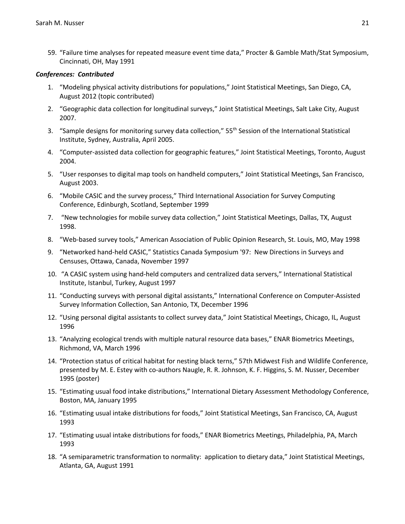59. "Failure time analyses for repeated measure event time data," Procter & Gamble Math/Stat Symposium, Cincinnati, OH, May 1991

# *Conferences: Contributed*

- 1. "Modeling physical activity distributions for populations," Joint Statistical Meetings, San Diego, CA, August 2012 (topic contributed)
- 2. "Geographic data collection for longitudinal surveys," Joint Statistical Meetings, Salt Lake City, August 2007.
- 3. "Sample designs for monitoring survey data collection," 55<sup>th</sup> Session of the International Statistical Institute, Sydney, Australia, April 2005.
- 4. "Computer-assisted data collection for geographic features," Joint Statistical Meetings, Toronto, August 2004.
- 5. "User responses to digital map tools on handheld computers," Joint Statistical Meetings, San Francisco, August 2003.
- 6. "Mobile CASIC and the survey process," Third International Association for Survey Computing Conference, Edinburgh, Scotland, September 1999
- 7. "New technologies for mobile survey data collection," Joint Statistical Meetings, Dallas, TX, August 1998.
- 8. "Web-based survey tools," American Association of Public Opinion Research, St. Louis, MO, May 1998
- 9. "Networked hand-held CASIC," Statistics Canada Symposium '97: New Directions in Surveys and Censuses, Ottawa, Canada, November 1997
- 10. "A CASIC system using hand-held computers and centralized data servers," International Statistical Institute, Istanbul, Turkey, August 1997
- 11. "Conducting surveys with personal digital assistants," International Conference on Computer-Assisted Survey Information Collection, San Antonio, TX, December 1996
- 12. "Using personal digital assistants to collect survey data," Joint Statistical Meetings, Chicago, IL, August 1996
- 13. "Analyzing ecological trends with multiple natural resource data bases," ENAR Biometrics Meetings, Richmond, VA, March 1996
- 14. "Protection status of critical habitat for nesting black terns," 57th Midwest Fish and Wildlife Conference, presented by M. E. Estey with co-authors Naugle, R. R. Johnson, K. F. Higgins, S. M. Nusser, December 1995 (poster)
- 15. "Estimating usual food intake distributions," International Dietary Assessment Methodology Conference, Boston, MA, January 1995
- 16. "Estimating usual intake distributions for foods," Joint Statistical Meetings, San Francisco, CA, August 1993
- 17. "Estimating usual intake distributions for foods," ENAR Biometrics Meetings, Philadelphia, PA, March 1993
- 18. "A semiparametric transformation to normality: application to dietary data," Joint Statistical Meetings, Atlanta, GA, August 1991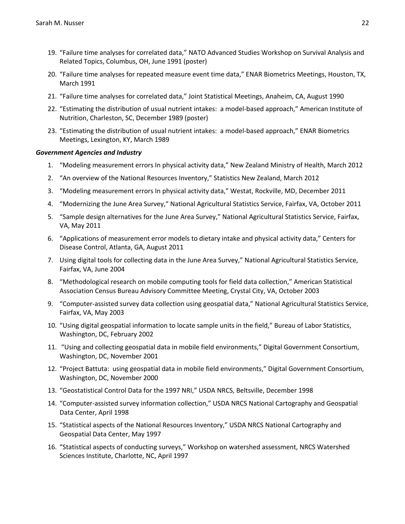- 19. "Failure time analyses for correlated data," NATO Advanced Studies Workshop on Survival Analysis and Related Topics, Columbus, OH, June 1991 (poster)
- 20. "Failure time analyses for repeated measure event time data," ENAR Biometrics Meetings, Houston, TX, March 1991
- 21. "Failure time analyses for correlated data," Joint Statistical Meetings, Anaheim, CA, August 1990
- 22. "Estimating the distribution of usual nutrient intakes: a model-based approach," American Institute of Nutrition, Charleston, SC, December 1989 (poster)
- 23. "Estimating the distribution of usual nutrient intakes: a model-based approach," ENAR Biometrics Meetings, Lexington, KY, March 1989

### *Government Agencies and Industry*

- 1. "Modeling measurement errors In physical activity data," New Zealand Ministry of Health, March 2012
- 2. "An overview of the National Resources Inventory," Statistics New Zealand, March 2012
- 3. "Modeling measurement errors In physical activity data," Westat, Rockville, MD, December 2011
- 4. "Modernizing the June Area Survey," National Agricultural Statistics Service, Fairfax, VA, October 2011
- 5. "Sample design alternatives for the June Area Survey," National Agricultural Statistics Service, Fairfax, VA, May 2011
- 6. "Applications of measurement error models to dietary intake and physical activity data," Centers for Disease Control, Atlanta, GA, August 2011
- 7. Using digital tools for collecting data in the June Area Survey," National Agricultural Statistics Service, Fairfax, VA, June 2004
- 8. "Methodological research on mobile computing tools for field data collection," American Statistical Association Census Bureau Advisory Committee Meeting, Crystal City, VA, October 2003
- 9. "Computer-assisted survey data collection using geospatial data," National Agricultural Statistics Service, Fairfax, VA, May 2003
- 10. "Using digital geospatial information to locate sample units in the field," Bureau of Labor Statistics, Washington, DC, February 2002
- 11. "Using and collecting geospatial data in mobile field environments," Digital Government Consortium, Washington, DC, November 2001
- 12. "Project Battuta: using geospatial data in mobile field environments," Digital Government Consortium, Washington, DC, November 2000
- 13. "Geostatistical Control Data for the 1997 NRI," USDA NRCS, Beltsville, December 1998
- 14. "Computer-assisted survey information collection," USDA NRCS National Cartography and Geospatial Data Center, April 1998
- 15. "Statistical aspects of the National Resources Inventory," USDA NRCS National Cartography and Geospatial Data Center, May 1997
- 16. "Statistical aspects of conducting surveys," Workshop on watershed assessment, NRCS Watershed Sciences Institute, Charlotte, NC, April 1997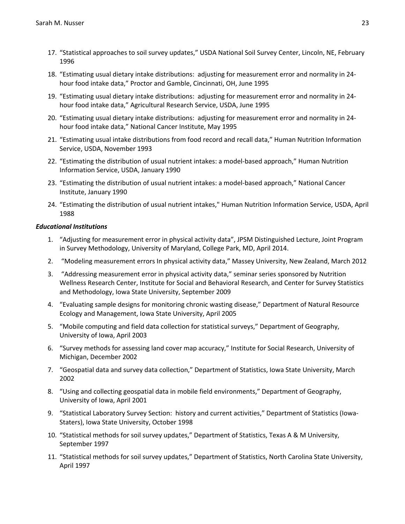- 17. "Statistical approaches to soil survey updates," USDA National Soil Survey Center, Lincoln, NE, February 1996
- 18. "Estimating usual dietary intake distributions: adjusting for measurement error and normality in 24 hour food intake data," Proctor and Gamble, Cincinnati, OH, June 1995
- 19. "Estimating usual dietary intake distributions: adjusting for measurement error and normality in 24 hour food intake data," Agricultural Research Service, USDA, June 1995
- 20. "Estimating usual dietary intake distributions: adjusting for measurement error and normality in 24 hour food intake data," National Cancer Institute, May 1995
- 21. "Estimating usual intake distributions from food record and recall data," Human Nutrition Information Service, USDA, November 1993
- 22. "Estimating the distribution of usual nutrient intakes: a model-based approach," Human Nutrition Information Service, USDA, January 1990
- 23. "Estimating the distribution of usual nutrient intakes: a model-based approach," National Cancer Institute, January 1990
- 24. "Estimating the distribution of usual nutrient intakes," Human Nutrition Information Service, USDA, April 1988

### *Educational Institutions*

- 1. "Adjusting for measurement error in physical activity data", JPSM Distinguished Lecture, Joint Program in Survey Methodology, University of Maryland, College Park, MD, April 2014.
- 2. "Modeling measurement errors In physical activity data," Massey University, New Zealand, March 2012
- 3. "Addressing measurement error in physical activity data," seminar series sponsored by Nutrition Wellness Research Center, Institute for Social and Behavioral Research, and Center for Survey Statistics and Methodology, Iowa State University, September 2009
- 4. "Evaluating sample designs for monitoring chronic wasting disease," Department of Natural Resource Ecology and Management, Iowa State University, April 2005
- 5. "Mobile computing and field data collection for statistical surveys," Department of Geography, University of Iowa, April 2003
- 6. "Survey methods for assessing land cover map accuracy," Institute for Social Research, University of Michigan, December 2002
- 7. "Geospatial data and survey data collection," Department of Statistics, Iowa State University, March 2002
- 8. "Using and collecting geospatial data in mobile field environments," Department of Geography, University of Iowa, April 2001
- 9. "Statistical Laboratory Survey Section: history and current activities," Department of Statistics (Iowa-Staters), Iowa State University, October 1998
- 10. "Statistical methods for soil survey updates," Department of Statistics, Texas A & M University, September 1997
- 11. "Statistical methods for soil survey updates," Department of Statistics, North Carolina State University, April 1997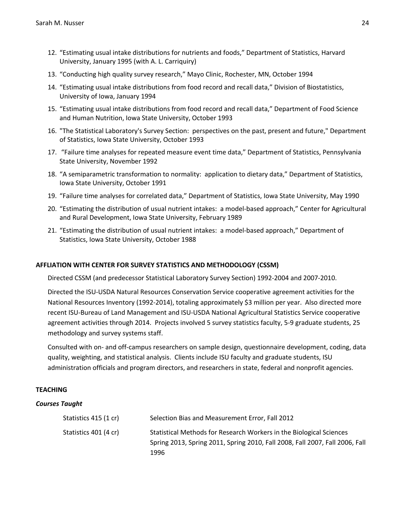- 12. "Estimating usual intake distributions for nutrients and foods," Department of Statistics, Harvard University, January 1995 (with A. L. Carriquiry)
- 13. "Conducting high quality survey research," Mayo Clinic, Rochester, MN, October 1994
- 14. "Estimating usual intake distributions from food record and recall data," Division of Biostatistics, University of Iowa, January 1994
- 15. "Estimating usual intake distributions from food record and recall data," Department of Food Science and Human Nutrition, Iowa State University, October 1993
- 16. "The Statistical Laboratory's Survey Section: perspectives on the past, present and future," Department of Statistics, Iowa State University, October 1993
- 17. "Failure time analyses for repeated measure event time data," Department of Statistics, Pennsylvania State University, November 1992
- 18. "A semiparametric transformation to normality: application to dietary data," Department of Statistics, Iowa State University, October 1991
- 19. "Failure time analyses for correlated data," Department of Statistics, Iowa State University, May 1990
- 20. "Estimating the distribution of usual nutrient intakes: a model-based approach," Center for Agricultural and Rural Development, Iowa State University, February 1989
- 21. "Estimating the distribution of usual nutrient intakes: a model-based approach," Department of Statistics, Iowa State University, October 1988

## **AFFLIATION WITH CENTER FOR SURVEY STATISTICS AND METHODOLOGY (CSSM)**

Directed CSSM (and predecessor Statistical Laboratory Survey Section) 1992-2004 and 2007-2010.

Directed the ISU-USDA Natural Resources Conservation Service cooperative agreement activities for the National Resources Inventory (1992-2014), totaling approximately \$3 million per year. Also directed more recent ISU-Bureau of Land Management and ISU-USDA National Agricultural Statistics Service cooperative agreement activities through 2014. Projects involved 5 survey statistics faculty, 5-9 graduate students, 25 methodology and survey systems staff.

Consulted with on- and off-campus researchers on sample design, questionnaire development, coding, data quality, weighting, and statistical analysis. Clients include ISU faculty and graduate students, ISU administration officials and program directors, and researchers in state, federal and nonprofit agencies.

### **TEACHING**

### *Courses Taught*

| Statistics 415 (1 cr) | Selection Bias and Measurement Error, Fall 2012                                                                                                             |
|-----------------------|-------------------------------------------------------------------------------------------------------------------------------------------------------------|
| Statistics 401 (4 cr) | Statistical Methods for Research Workers in the Biological Sciences<br>Spring 2013, Spring 2011, Spring 2010, Fall 2008, Fall 2007, Fall 2006, Fall<br>1996 |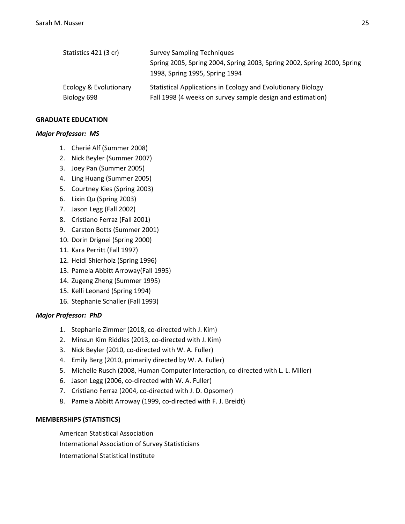| Statistics 421 (3 cr)  | <b>Survey Sampling Techniques</b>                                                                         |
|------------------------|-----------------------------------------------------------------------------------------------------------|
|                        | Spring 2005, Spring 2004, Spring 2003, Spring 2002, Spring 2000, Spring<br>1998, Spring 1995, Spring 1994 |
| Ecology & Evolutionary | Statistical Applications in Ecology and Evolutionary Biology                                              |
| Biology 698            | Fall 1998 (4 weeks on survey sample design and estimation)                                                |

### **GRADUATE EDUCATION**

### *Major Professor: MS*

- 1. Cherié Alf (Summer 2008)
- 2. Nick Beyler (Summer 2007)
- 3. Joey Pan (Summer 2005)
- 4. Ling Huang (Summer 2005)
- 5. Courtney Kies (Spring 2003)
- 6. Lixin Qu (Spring 2003)
- 7. Jason Legg (Fall 2002)
- 8. Cristiano Ferraz (Fall 2001)
- 9. Carston Botts (Summer 2001)
- 10. Dorin Drignei (Spring 2000)
- 11. Kara Perritt (Fall 1997)
- 12. Heidi Shierholz (Spring 1996)
- 13. Pamela Abbitt Arroway(Fall 1995)
- 14. Zugeng Zheng (Summer 1995)
- 15. Kelli Leonard (Spring 1994)
- 16. Stephanie Schaller (Fall 1993)

# *Major Professor: PhD*

- 1. Stephanie Zimmer (2018, co-directed with J. Kim)
- 2. Minsun Kim Riddles (2013, co-directed with J. Kim)
- 3. Nick Beyler (2010, co-directed with W. A. Fuller)
- 4. Emily Berg (2010, primarily directed by W. A. Fuller)
- 5. Michelle Rusch (2008, Human Computer Interaction, co-directed with L. L. Miller)
- 6. Jason Legg (2006, co-directed with W. A. Fuller)
- 7. Cristiano Ferraz (2004, co-directed with J. D. Opsomer)
- 8. Pamela Abbitt Arroway (1999, co-directed with F. J. Breidt)

# **MEMBERSHIPS (STATISTICS)**

American Statistical Association International Association of Survey Statisticians International Statistical Institute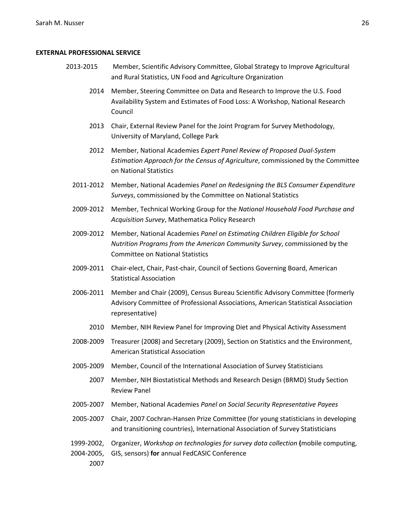### **EXTERNAL PROFESSIONAL SERVICE**

- 2013-2015 Member, Scientific Advisory Committee, Global Strategy to Improve Agricultural and Rural Statistics, UN Food and Agriculture Organization
	- 2014 Member, Steering Committee on Data and Research to Improve the U.S. Food Availability System and Estimates of Food Loss: A Workshop, National Research Council
	- 2013 Chair, External Review Panel for the Joint Program for Survey Methodology, University of Maryland, College Park
	- 2012 Member, National Academies *Expert Panel Review of Proposed Dual-System Estimation Approach for the Census of Agriculture*, commissioned by the Committee on National Statistics
	- 2011-2012 Member, National Academies *Panel on Redesigning the BLS Consumer Expenditure Surveys*, commissioned by the Committee on National Statistics
	- 2009-2012 Member, Technical Working Group for the *National Household Food Purchase and Acquisition Survey*, Mathematica Policy Research
	- 2009-2012 Member, National Academies *Panel on Estimating Children Eligible for School Nutrition Programs from the American Community Survey*, commissioned by the Committee on National Statistics
	- 2009-2011 Chair-elect, Chair, Past-chair, Council of Sections Governing Board, American Statistical Association
	- 2006-2011 Member and Chair (2009), Census Bureau Scientific Advisory Committee (formerly Advisory Committee of Professional Associations, American Statistical Association representative)
		- 2010 Member, NIH Review Panel for Improving Diet and Physical Activity Assessment
	- 2008-2009 Treasurer (2008) and Secretary (2009), Section on Statistics and the Environment, American Statistical Association
	- 2005-2009 Member, Council of the International Association of Survey Statisticians
		- 2007 Member, NIH Biostatistical Methods and Research Design (BRMD) Study Section Review Panel
	- 2005-2007 Member, National Academies *Panel on Social Security Representative Payees*
	- 2005-2007 Chair, 2007 Cochran-Hansen Prize Committee (for young statisticians in developing and transitioning countries), International Association of Survey Statisticians
	- 1999-2002, Organizer, *Workshop on technologies for survey data collection* **(**mobile computing,
	- 2004-2005, GIS, sensors) **for** annual FedCASIC Conference
		- 2007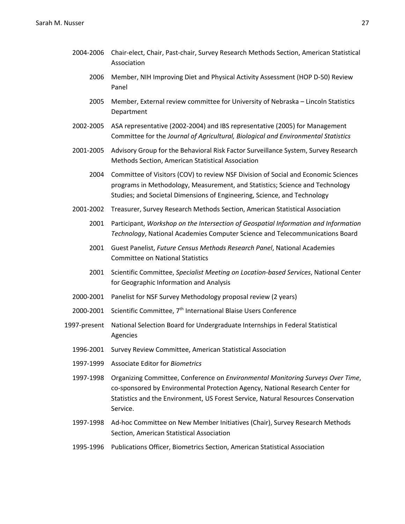- 2004-2006 Chair-elect, Chair, Past-chair, Survey Research Methods Section, American Statistical Association
	- 2006 Member, NIH Improving Diet and Physical Activity Assessment (HOP D-50) Review Panel
	- 2005 Member, External review committee for University of Nebraska Lincoln Statistics Department
- 2002-2005 ASA representative (2002-2004) and IBS representative (2005) for Management Committee for the *Journal of Agricultural, Biological and Environmental Statistics*
- 2001-2005 Advisory Group for the Behavioral Risk Factor Surveillance System, Survey Research Methods Section, American Statistical Association
	- 2004 Committee of Visitors (COV) to review NSF Division of Social and Economic Sciences programs in Methodology, Measurement, and Statistics; Science and Technology Studies; and Societal Dimensions of Engineering, Science, and Technology
- 2001-2002 Treasurer, Survey Research Methods Section, American Statistical Association
	- 2001 Participant, *Workshop on the Intersection of Geospatial Information and Information Technology*, National Academies Computer Science and Telecommunications Board
	- 2001 Guest Panelist, *Future Census Methods Research Panel*, National Academies Committee on National Statistics
	- 2001 Scientific Committee, *Specialist Meeting on Location-based Services*, National Center for Geographic Information and Analysis
- 2000-2001 Panelist for NSF Survey Methodology proposal review (2 years)
- 2000-2001 Scientific Committee, 7<sup>th</sup> International Blaise Users Conference
- 1997-present National Selection Board for Undergraduate Internships in Federal Statistical Agencies
	- 1996-2001 Survey Review Committee, American Statistical Association
	- 1997-1999 Associate Editor for *Biometrics*
	- 1997-1998 Organizing Committee, Conference on *Environmental Monitoring Surveys Over Time*, co-sponsored by Environmental Protection Agency, National Research Center for Statistics and the Environment, US Forest Service, Natural Resources Conservation Service.
	- 1997-1998 Ad-hoc Committee on New Member Initiatives (Chair), Survey Research Methods Section, American Statistical Association
	- 1995-1996 Publications Officer, Biometrics Section, American Statistical Association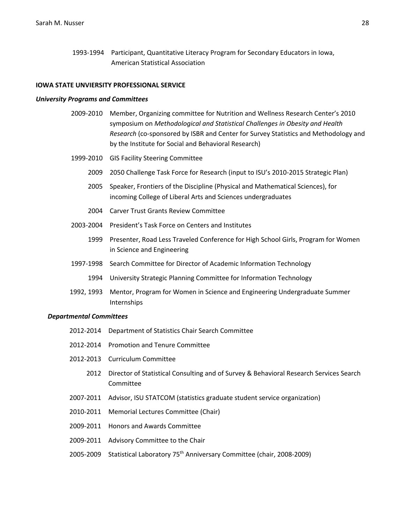1993-1994 Participant, Quantitative Literacy Program for Secondary Educators in Iowa, American Statistical Association

## **IOWA STATE UNVIERSITY PROFESSIONAL SERVICE**

#### *University Programs and Committees*

- 2009-2010 Member, Organizing committee for Nutrition and Wellness Research Center's 2010 symposium on *Methodological and Statistical Challenges in Obesity and Health Research* (co-sponsored by ISBR and Center for Survey Statistics and Methodology and by the Institute for Social and Behavioral Research)
- 1999-2010 GIS Facility Steering Committee
	- 2009 2050 Challenge Task Force for Research (input to ISU's 2010-2015 Strategic Plan)
	- 2005 Speaker, Frontiers of the Discipline (Physical and Mathematical Sciences), for incoming College of Liberal Arts and Sciences undergraduates
	- 2004 Carver Trust Grants Review Committee
- 2003-2004 President's Task Force on Centers and Institutes
	- 1999 Presenter, Road Less Traveled Conference for High School Girls, Program for Women in Science and Engineering
- 1997-1998 Search Committee for Director of Academic Information Technology
	- 1994 University Strategic Planning Committee for Information Technology
- 1992, 1993 Mentor, Program for Women in Science and Engineering Undergraduate Summer Internships

### *Departmental Committees*

- 2012-2014 Department of Statistics Chair Search Committee
- 2012-2014 Promotion and Tenure Committee
- 2012-2013 Curriculum Committee
	- 2012 Director of Statistical Consulting and of Survey & Behavioral Research Services Search Committee
- 2007-2011 Advisor, ISU STATCOM (statistics graduate student service organization)
- 2010-2011 Memorial Lectures Committee (Chair)
- 2009-2011 Honors and Awards Committee
- 2009-2011 Advisory Committee to the Chair
- 2005-2009 Statistical Laboratory 75<sup>th</sup> Anniversary Committee (chair, 2008-2009)